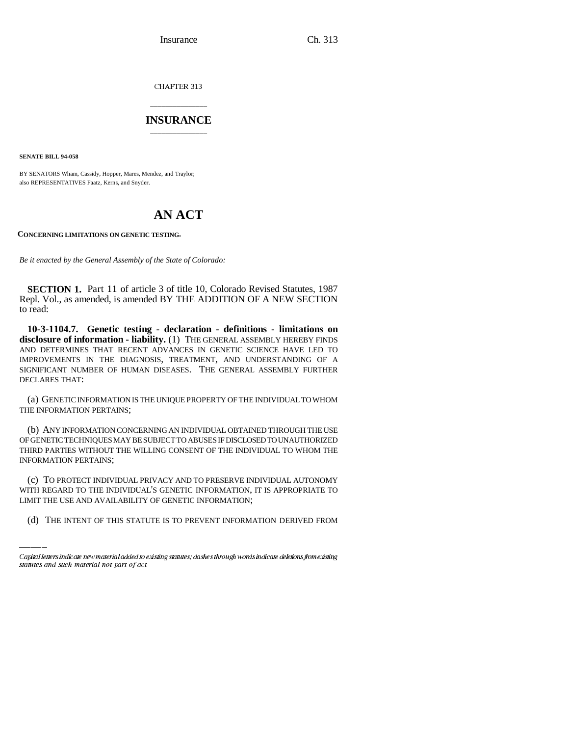Insurance Ch. 313

CHAPTER 313

## \_\_\_\_\_\_\_\_\_\_\_\_\_\_\_ **INSURANCE** \_\_\_\_\_\_\_\_\_\_\_\_\_\_\_

**SENATE BILL 94-058**

BY SENATORS Wham, Cassidy, Hopper, Mares, Mendez, and Traylor; also REPRESENTATIVES Faatz, Kerns, and Snyder.

# **AN ACT**

**CONCERNING LIMITATIONS ON GENETIC TESTING.**

*Be it enacted by the General Assembly of the State of Colorado:*

**SECTION 1.** Part 11 of article 3 of title 10, Colorado Revised Statutes, 1987 Repl. Vol., as amended, is amended BY THE ADDITION OF A NEW SECTION to read:

**10-3-1104.7. Genetic testing - declaration - definitions - limitations on disclosure of information - liability.** (1) THE GENERAL ASSEMBLY HEREBY FINDS AND DETERMINES THAT RECENT ADVANCES IN GENETIC SCIENCE HAVE LED TO IMPROVEMENTS IN THE DIAGNOSIS, TREATMENT, AND UNDERSTANDING OF A SIGNIFICANT NUMBER OF HUMAN DISEASES. THE GENERAL ASSEMBLY FURTHER DECLARES THAT:

(a) GENETIC INFORMATION IS THE UNIQUE PROPERTY OF THE INDIVIDUAL TO WHOM THE INFORMATION PERTAINS;

(b) ANY INFORMATION CONCERNING AN INDIVIDUAL OBTAINED THROUGH THE USE OF GENETIC TECHNIQUES MAY BE SUBJECT TO ABUSES IF DISCLOSED TO UNAUTHORIZED THIRD PARTIES WITHOUT THE WILLING CONSENT OF THE INDIVIDUAL TO WHOM THE INFORMATION PERTAINS;

(c) TO PROTECT INDIVIDUAL PRIVACY AND TO PRESERVE INDIVIDUAL AUTONOMY WITH REGARD TO THE INDIVIDUAL'S GENETIC INFORMATION, IT IS APPROPRIATE TO LIMIT THE USE AND AVAILABILITY OF GENETIC INFORMATION;

(d) THE INTENT OF THIS STATUTE IS TO PREVENT INFORMATION DERIVED FROM

Capital letters indicate new material added to existing statutes; dashes through words indicate deletions from existing statutes and such material not part of act.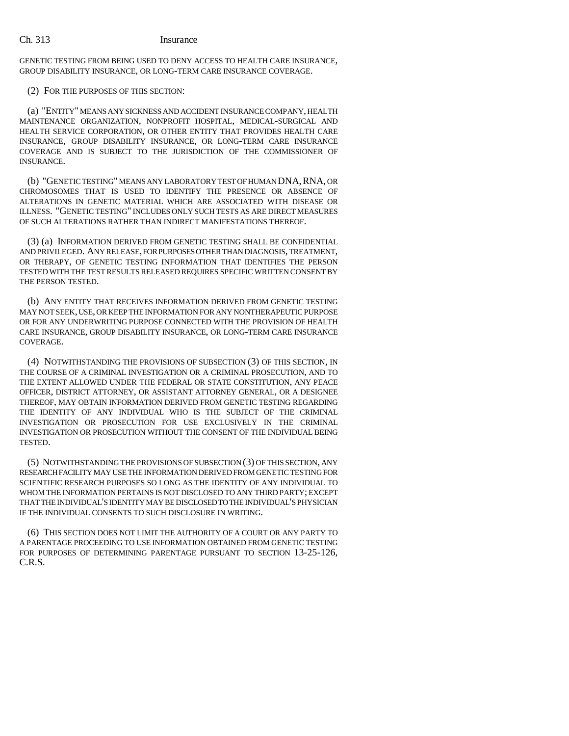#### Ch. 313 Insurance

GENETIC TESTING FROM BEING USED TO DENY ACCESS TO HEALTH CARE INSURANCE, GROUP DISABILITY INSURANCE, OR LONG-TERM CARE INSURANCE COVERAGE.

### (2) FOR THE PURPOSES OF THIS SECTION:

(a) "ENTITY" MEANS ANY SICKNESS AND ACCIDENT INSURANCE COMPANY, HEALTH MAINTENANCE ORGANIZATION, NONPROFIT HOSPITAL, MEDICAL-SURGICAL AND HEALTH SERVICE CORPORATION, OR OTHER ENTITY THAT PROVIDES HEALTH CARE INSURANCE, GROUP DISABILITY INSURANCE, OR LONG-TERM CARE INSURANCE COVERAGE AND IS SUBJECT TO THE JURISDICTION OF THE COMMISSIONER OF INSURANCE.

(b) "GENETIC TESTING" MEANS ANY LABORATORY TEST OF HUMAN DNA, RNA, OR CHROMOSOMES THAT IS USED TO IDENTIFY THE PRESENCE OR ABSENCE OF ALTERATIONS IN GENETIC MATERIAL WHICH ARE ASSOCIATED WITH DISEASE OR ILLNESS. "GENETIC TESTING" INCLUDES ONLY SUCH TESTS AS ARE DIRECT MEASURES OF SUCH ALTERATIONS RATHER THAN INDIRECT MANIFESTATIONS THEREOF.

(3) (a) INFORMATION DERIVED FROM GENETIC TESTING SHALL BE CONFIDENTIAL AND PRIVILEGED. ANY RELEASE, FOR PURPOSES OTHER THAN DIAGNOSIS, TREATMENT, OR THERAPY, OF GENETIC TESTING INFORMATION THAT IDENTIFIES THE PERSON TESTED WITH THE TEST RESULTS RELEASED REQUIRES SPECIFIC WRITTEN CONSENT BY THE PERSON TESTED.

(b) ANY ENTITY THAT RECEIVES INFORMATION DERIVED FROM GENETIC TESTING MAY NOT SEEK, USE, OR KEEP THE INFORMATION FOR ANY NONTHERAPEUTIC PURPOSE OR FOR ANY UNDERWRITING PURPOSE CONNECTED WITH THE PROVISION OF HEALTH CARE INSURANCE, GROUP DISABILITY INSURANCE, OR LONG-TERM CARE INSURANCE COVERAGE.

(4) NOTWITHSTANDING THE PROVISIONS OF SUBSECTION (3) OF THIS SECTION, IN THE COURSE OF A CRIMINAL INVESTIGATION OR A CRIMINAL PROSECUTION, AND TO THE EXTENT ALLOWED UNDER THE FEDERAL OR STATE CONSTITUTION, ANY PEACE OFFICER, DISTRICT ATTORNEY, OR ASSISTANT ATTORNEY GENERAL, OR A DESIGNEE THEREOF, MAY OBTAIN INFORMATION DERIVED FROM GENETIC TESTING REGARDING THE IDENTITY OF ANY INDIVIDUAL WHO IS THE SUBJECT OF THE CRIMINAL INVESTIGATION OR PROSECUTION FOR USE EXCLUSIVELY IN THE CRIMINAL INVESTIGATION OR PROSECUTION WITHOUT THE CONSENT OF THE INDIVIDUAL BEING TESTED.

(5) NOTWITHSTANDING THE PROVISIONS OF SUBSECTION (3) OF THIS SECTION, ANY RESEARCH FACILITY MAY USE THE INFORMATION DERIVED FROM GENETIC TESTING FOR SCIENTIFIC RESEARCH PURPOSES SO LONG AS THE IDENTITY OF ANY INDIVIDUAL TO WHOM THE INFORMATION PERTAINS IS NOT DISCLOSED TO ANY THIRD PARTY; EXCEPT THAT THE INDIVIDUAL'S IDENTITY MAY BE DISCLOSED TO THE INDIVIDUAL'S PHYSICIAN IF THE INDIVIDUAL CONSENTS TO SUCH DISCLOSURE IN WRITING.

(6) THIS SECTION DOES NOT LIMIT THE AUTHORITY OF A COURT OR ANY PARTY TO A PARENTAGE PROCEEDING TO USE INFORMATION OBTAINED FROM GENETIC TESTING FOR PURPOSES OF DETERMINING PARENTAGE PURSUANT TO SECTION 13-25-126, C.R.S.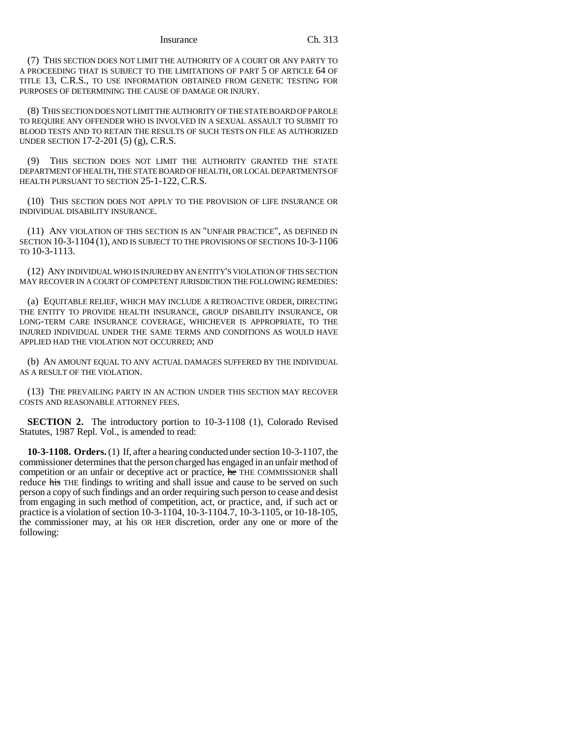#### Insurance Ch. 313

(7) THIS SECTION DOES NOT LIMIT THE AUTHORITY OF A COURT OR ANY PARTY TO A PROCEEDING THAT IS SUBJECT TO THE LIMITATIONS OF PART 5 OF ARTICLE 64 OF TITLE 13, C.R.S., TO USE INFORMATION OBTAINED FROM GENETIC TESTING FOR PURPOSES OF DETERMINING THE CAUSE OF DAMAGE OR INJURY.

(8) THIS SECTION DOES NOT LIMIT THE AUTHORITY OF THE STATE BOARD OF PAROLE TO REQUIRE ANY OFFENDER WHO IS INVOLVED IN A SEXUAL ASSAULT TO SUBMIT TO BLOOD TESTS AND TO RETAIN THE RESULTS OF SUCH TESTS ON FILE AS AUTHORIZED UNDER SECTION 17-2-201 (5) (g), C.R.S.

(9) THIS SECTION DOES NOT LIMIT THE AUTHORITY GRANTED THE STATE DEPARTMENT OF HEALTH, THE STATE BOARD OF HEALTH, OR LOCAL DEPARTMENTS OF HEALTH PURSUANT TO SECTION 25-1-122, C.R.S.

(10) THIS SECTION DOES NOT APPLY TO THE PROVISION OF LIFE INSURANCE OR INDIVIDUAL DISABILITY INSURANCE.

(11) ANY VIOLATION OF THIS SECTION IS AN "UNFAIR PRACTICE", AS DEFINED IN SECTION 10-3-1104 (1), AND IS SUBJECT TO THE PROVISIONS OF SECTIONS 10-3-1106 TO 10-3-1113.

(12) ANY INDIVIDUAL WHO IS INJURED BY AN ENTITY'S VIOLATION OF THIS SECTION MAY RECOVER IN A COURT OF COMPETENT JURISDICTION THE FOLLOWING REMEDIES:

(a) EQUITABLE RELIEF, WHICH MAY INCLUDE A RETROACTIVE ORDER, DIRECTING THE ENTITY TO PROVIDE HEALTH INSURANCE, GROUP DISABILITY INSURANCE, OR LONG-TERM CARE INSURANCE COVERAGE, WHICHEVER IS APPROPRIATE, TO THE INJURED INDIVIDUAL UNDER THE SAME TERMS AND CONDITIONS AS WOULD HAVE APPLIED HAD THE VIOLATION NOT OCCURRED; AND

(b) AN AMOUNT EQUAL TO ANY ACTUAL DAMAGES SUFFERED BY THE INDIVIDUAL AS A RESULT OF THE VIOLATION.

(13) THE PREVAILING PARTY IN AN ACTION UNDER THIS SECTION MAY RECOVER COSTS AND REASONABLE ATTORNEY FEES.

**SECTION 2.** The introductory portion to 10-3-1108 (1), Colorado Revised Statutes, 1987 Repl. Vol., is amended to read:

**10-3-1108. Orders.** (1) If, after a hearing conducted under section 10-3-1107, the commissioner determines that the person charged has engaged in an unfair method of competition or an unfair or deceptive act or practice, he THE COMMISSIONER shall reduce his THE findings to writing and shall issue and cause to be served on such person a copy of such findings and an order requiring such person to cease and desist from engaging in such method of competition, act, or practice, and, if such act or practice is a violation of section 10-3-1104, 10-3-1104.7, 10-3-1105, or 10-18-105, the commissioner may, at his OR HER discretion, order any one or more of the following: